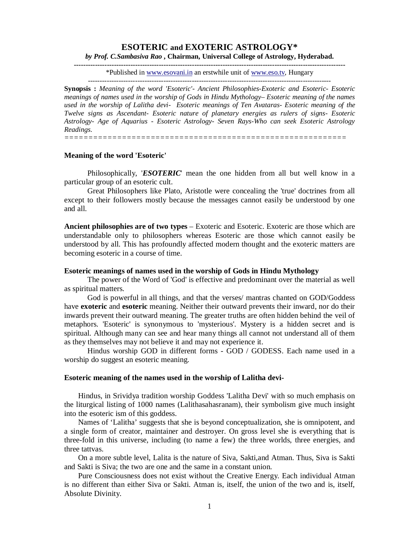# **ESOTERIC and EXOTERIC ASTROLOGY\***

*by Prof. C.Sambasiva Rao* **, Chairman, Universal College of Astrology, Hyderabad. -------------------------------------------------------------------------------------------------------------------**

\*Published in www.esovani.in an erstwhile unit of www.eso.tv, Hungary

-------------------------------------------------------------------------------------------------------

**Synopsis :** *Meaning of the word 'Esoteric'- Ancient Philosophies-Exoteric and Esoteric- Esoteric meanings of names used in the worship of Gods in Hindu Mythology– Esoteric meaning of the names used in the worship of Lalitha devi- Esoteric meanings of Ten Avataras- Esoteric meaning of the Twelve signs as Ascendant- Esoteric nature of planetary energies as rulers of signs- Esoteric Astrology- Age of Aquarius - Esoteric Astrology- Seven Rays-Who can seek Esoteric Astrology Readings.*

*===========================================================*

### **Meaning of the word 'Esoteric'**

Philosophically, *'ESOTERIC*' mean the one hidden from all but well know in a particular group of an esoteric cult.

Great Philosophers like Plato, Aristotle were concealing the 'true' doctrines from all except to their followers mostly because the messages cannot easily be understood by one and all.

**Ancient philosophies are of two types** – Exoteric and Esoteric. Exoteric are those which are understandable only to philosophers whereas Esoteric are those which cannot easily be understood by all. This has profoundly affected modern thought and the exoteric matters are becoming esoteric in a course of time.

### **Esoteric meanings of names used in the worship of Gods in Hindu Mythology**

The power of the Word of 'God' is effective and predominant over the material as well as spiritual matters.

God is powerful in all things, and that the verses/ mantras chanted on GOD/Goddess have **exoteric** and **esoteric** meaning. Neither their outward prevents their inward, nor do their inwards prevent their outward meaning. The greater truths are often hidden behind the veil of metaphors. 'Esoteric' is synonymous to 'mysterious'. Mystery is a hidden secret and is spiritual. Although many can see and hear many things all cannot not understand all of them as they themselves may not believe it and may not experience it.

Hindus worship GOD in different forms - GOD / GODESS. Each name used in a worship do suggest an esoteric meaning.

#### **Esoteric meaning of the names used in the worship of Lalitha devi-**

Hindus, in Srividya tradition worship Goddess 'Lalitha Devi' with so much emphasis on the liturgical listing of 1000 names (Lalithasahasranam), their symbolism give much insight into the esoteric ism of this goddess.

Names of 'Lalitha' suggests that she is beyond conceptualization, she is omnipotent, and a single form of creator, maintainer and destroyer. On gross level she is everything that is three-fold in this universe, including (to name a few) the three worlds, three energies, and three tattvas.

On a more subtle level, Lalita is the nature of Siva, Sakti,and Atman. Thus, Siva is Sakti and Sakti is Siva; the two are one and the same in a constant union.

Pure Consciousness does not exist without the Creative Energy. Each individual Atman is no different than either Siva or Sakti. Atman is, itself, the union of the two and is, itself, Absolute Divinity.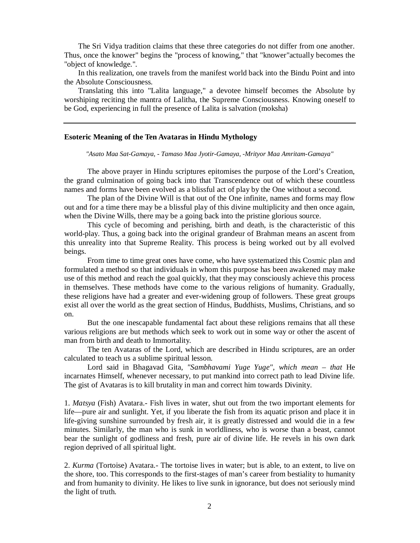The Sri Vidya tradition claims that these three categories do not differ from one another. Thus, once the knower" begins the "process of knowing," that "knower"actually becomes the "object of knowledge.".

In this realization, one travels from the manifest world back into the Bindu Point and into the Absolute Consciousness.

Translating this into "Lalita language," a devotee himself becomes the Absolute by worshiping reciting the mantra of Lalitha, the Supreme Consciousness. Knowing oneself to be God, experiencing in full the presence of Lalita is salvation (moksha)

### **Esoteric Meaning of the Ten Avataras in Hindu Mythology**

*"Asato Maa Sat-Gamaya, - Tamaso Maa Jyotir-Gamaya, -Mrityor Maa Amritam-Gamaya"*

The above prayer in Hindu scriptures epitomises the purpose of the Lord's Creation, the grand culmination of going back into that Transcendence out of which these countless names and forms have been evolved as a blissful act of play by the One without a second.

The plan of the Divine Will is that out of the One infinite, names and forms may flow out and for a time there may be a blissful play of this divine multiplicity and then once again, when the Divine Wills, there may be a going back into the pristine glorious source.

This cycle of becoming and perishing, birth and death, is the characteristic of this world-play. Thus, a going back into the original grandeur of Brahman means an ascent from this unreality into that Supreme Reality. This process is being worked out by all evolved beings.

From time to time great ones have come, who have systematized this Cosmic plan and formulated a method so that individuals in whom this purpose has been awakened may make use of this method and reach the goal quickly, that they may consciously achieve this process in themselves. These methods have come to the various religions of humanity. Gradually, these religions have had a greater and ever-widening group of followers. These great groups exist all over the world as the great section of Hindus, Buddhists, Muslims, Christians, and so on.

But the one inescapable fundamental fact about these religions remains that all these various religions are but methods which seek to work out in some way or other the ascent of man from birth and death to Immortality.

The ten Avataras of the Lord, which are described in Hindu scriptures, are an order calculated to teach us a sublime spiritual lesson.

Lord said in Bhagavad Gita, *"Sambhavami Yuge Yuge", which mean – that* He incarnates Himself, whenever necessary, to put mankind into correct path to lead Divine life. The gist of Avataras is to kill brutality in man and correct him towards Divinity.

1. *Matsya* (Fish) Avatara.- Fish lives in water, shut out from the two important elements for life—pure air and sunlight. Yet, if you liberate the fish from its aquatic prison and place it in life-giving sunshine surrounded by fresh air, it is greatly distressed and would die in a few minutes. Similarly, the man who is sunk in worldliness, who is worse than a beast, cannot bear the sunlight of godliness and fresh, pure air of divine life. He revels in his own dark region deprived of all spiritual light.

2. *Kurma* (Tortoise) Avatara.- The tortoise lives in water; but is able, to an extent, to live on the shore, too. This corresponds to the first-stages of man's career from bestiality to humanity and from humanity to divinity. He likes to live sunk in ignorance, but does not seriously mind the light of truth.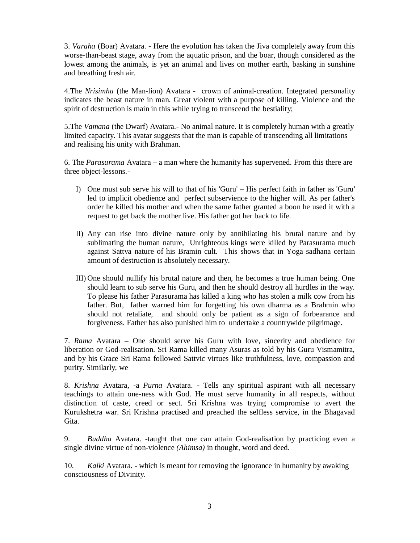3. *Varaha* (Boar) Avatara. - Here the evolution has taken the Jiva completely away from this worse-than-beast stage, away from the aquatic prison, and the boar, though considered as the lowest among the animals, is yet an animal and lives on mother earth, basking in sunshine and breathing fresh air.

4.The *Nrisimha* (the Man-lion) Avatara - crown of animal-creation. Integrated personality indicates the beast nature in man. Great violent with a purpose of killing. Violence and the spirit of destruction is main in this while trying to transcend the bestiality;

5.The *Vamana* (the Dwarf) Avatara.- No animal nature. It is completely human with a greatly limited capacity. This avatar suggests that the man is capable of transcending all limitations and realising his unity with Brahman.

6. The *Parasurama* Avatara – a man where the humanity has supervened. From this there are three object-lessons.-

- I) One must sub serve his will to that of his 'Guru' His perfect faith in father as 'Guru' led to implicit obedience and perfect subservience to the higher will. As per father's order he killed his mother and when the same father granted a boon he used it with a request to get back the mother live. His father got her back to life.
- II) Any can rise into divine nature only by annihilating his brutal nature and by sublimating the human nature, Unrighteous kings were killed by Parasurama much against Sattva nature of his Bramin cult. This shows that in Yoga sadhana certain amount of destruction is absolutely necessary.
- III) One should nullify his brutal nature and then, he becomes a true human being. One should learn to sub serve his Guru, and then he should destroy all hurdles in the way. To please his father Parasurama has killed a king who has stolen a milk cow from his father. But, father warned him for forgetting his own dharma as a Brahmin who should not retaliate, and should only be patient as a sign of forbearance and forgiveness. Father has also punished him to undertake a countrywide pilgrimage.

7. *Rama* Avatara – One should serve his Guru with love, sincerity and obedience for liberation or God-realisation. Sri Rama killed many Asuras as told by his Guru Vismamitra, and by his Grace Sri Rama followed Sattvic virtues like truthfulness, love, compassion and purity. Similarly, we

8. *Krishna* Avatara, -a *Purna* Avatara. - Tells any spiritual aspirant with all necessary teachings to attain one-ness with God. He must serve humanity in all respects, without distinction of caste, creed or sect. Sri Krishna was trying compromise to avert the Kurukshetra war. Sri Krishna practised and preached the selfless service, in the Bhagavad Gita.

9. *Buddha* Avatara. -taught that one can attain God-realisation by practicing even a single divine virtue of non-violence *(Ahimsa)* in thought, word and deed.

10. *Kalki* Avatara. - which is meant for removing the ignorance in humanity by awaking consciousness of Divinity.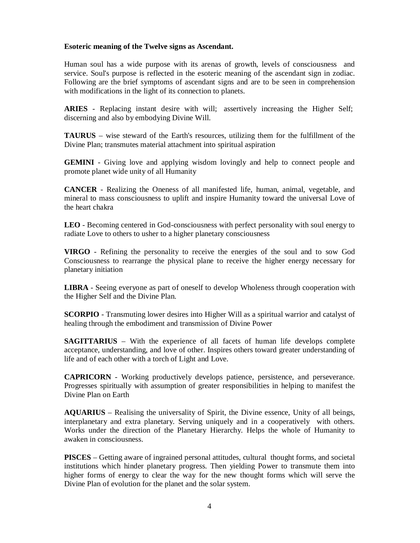## **Esoteric meaning of the Twelve signs as Ascendant.**

Human soul has a wide purpose with its arenas of growth, levels of consciousness and service. Soul's purpose is reflected in the esoteric meaning of the ascendant sign in zodiac. Following are the brief symptoms of ascendant signs and are to be seen in comprehension with modifications in the light of its connection to planets.

**ARIES** - Replacing instant desire with will; assertively increasing the Higher Self; discerning and also by embodying Divine Will.

**TAURUS** – wise steward of the Earth's resources, utilizing them for the fulfillment of the Divine Plan; transmutes material attachment into spiritual aspiration

**GEMINI** - Giving love and applying wisdom lovingly and help to connect people and promote planet wide unity of all Humanity

**CANCER** - Realizing the Oneness of all manifested life, human, animal, vegetable, and mineral to mass consciousness to uplift and inspire Humanity toward the universal Love of the heart chakra

**LEO** - Becoming centered in God-consciousness with perfect personality with soul energy to radiate Love to others to usher to a higher planetary consciousness

**VIRGO** - Refining the personality to receive the energies of the soul and to sow God Consciousness to rearrange the physical plane to receive the higher energy necessary for planetary initiation

**LIBRA** - Seeing everyone as part of oneself to develop Wholeness through cooperation with the Higher Self and the Divine Plan.

**SCORPIO** - Transmuting lower desires into Higher Will as a spiritual warrior and catalyst of healing through the embodiment and transmission of Divine Power

**SAGITTARIUS** – With the experience of all facets of human life develops complete acceptance, understanding, and love of other. Inspires others toward greater understanding of life and of each other with a torch of Light and Love.

**CAPRICORN** - Working productively develops patience, persistence, and perseverance. Progresses spiritually with assumption of greater responsibilities in helping to manifest the Divine Plan on Earth

**AQUARIUS** – Realising the universality of Spirit, the Divine essence, Unity of all beings, interplanetary and extra planetary. Serving uniquely and in a cooperatively with others. Works under the direction of the Planetary Hierarchy. Helps the whole of Humanity to awaken in consciousness.

**PISCES** – Getting aware of ingrained personal attitudes, cultural thought forms, and societal institutions which hinder planetary progress. Then yielding Power to transmute them into higher forms of energy to clear the way for the new thought forms which will serve the Divine Plan of evolution for the planet and the solar system.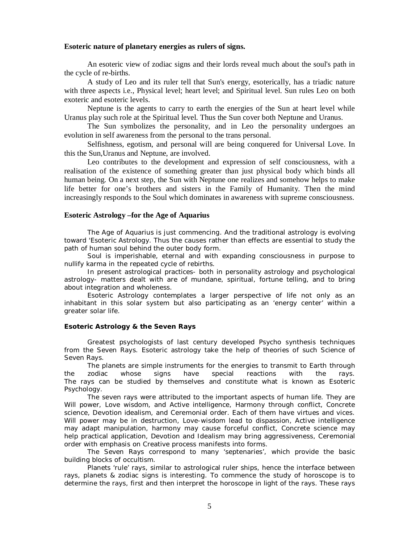### **Esoteric nature of planetary energies as rulers of signs.**

An esoteric view of zodiac signs and their lords reveal much about the soul's path in the cycle of re-births.

A study of Leo and its ruler tell that Sun's energy, esoterically, has a triadic nature with three aspects i.e., Physical level; heart level; and Spiritual level. Sun rules Leo on both exoteric and esoteric levels.

Neptune is the agents to carry to earth the energies of the Sun at heart level while Uranus play such role at the Spiritual level. Thus the Sun cover both Neptune and Uranus.

The Sun symbolizes the personality, and in Leo the personality undergoes an evolution in self awareness from the personal to the trans personal.

Selfishness, egotism, and personal will are being conquered for Universal Love. In this the Sun,Uranus and Neptune, are involved.

Leo contributes to the development and expression of self consciousness, with a realisation of the existence of something greater than just physical body which binds all human being. On a next step, the Sun with Neptune one realizes and somehow helps to make life better for one's brothers and sisters in the Family of Humanity. Then the mind increasingly responds to the Soul which dominates in awareness with supreme consciousness.

### **Esoteric Astrology –for the Age of Aquarius**

The Age of Aquarius is just commencing. And the traditional astrology is evolving toward 'Esoteric Astrology. Thus the causes rather than effects are essential to study the path of human soul behind the outer body form.

Soul is imperishable, eternal and with expanding consciousness in purpose to nullify karma in the repeated cycle of rebirths.

In present astrological practices- both in personality astrology and psychological astrology- matters dealt with are of mundane, spiritual, fortune telling, and to bring about integration and wholeness.

Esoteric Astrology contemplates a larger perspective of life not only as an inhabitant in this solar system but also participating as an 'energy center' within a greater solar life.

#### **Esoteric Astrology & the Seven Rays**

Greatest psychologists of last century developed Psycho synthesis techniques from the Seven Rays. Esoteric astrology take the help of theories of such Science of Seven Rays.

The planets are simple instruments for the energies to transmit to Earth through the zodiac whose signs have special reactions with the rays. The rays can be studied by themselves and constitute what is known as Esoteric Psychology.

The seven rays were attributed to the important aspects of human life. They are Will power, Love wisdom, and Active intelligence, Harmony through conflict, Concrete science, Devotion idealism, and Ceremonial order. Each of them have virtues and vices. Will power may be in destruction, Love-wisdom lead to dispassion, Active intelligence may adapt manipulation, harmony may cause forceful conflict, Concrete science may help practical application, Devotion and Idealism may bring aggressiveness, Ceremonial order with emphasis on Creative process manifests into forms.

The Seven Rays correspond to many 'septenaries', which provide the basic building blocks of occultism.

Planets 'rule' rays, similar to astrological ruler ships, hence the interface between rays, planets & zodiac signs is interesting. To commence the study of horoscope is to determine the rays, first and then interpret the horoscope *in light of the rays*. These rays